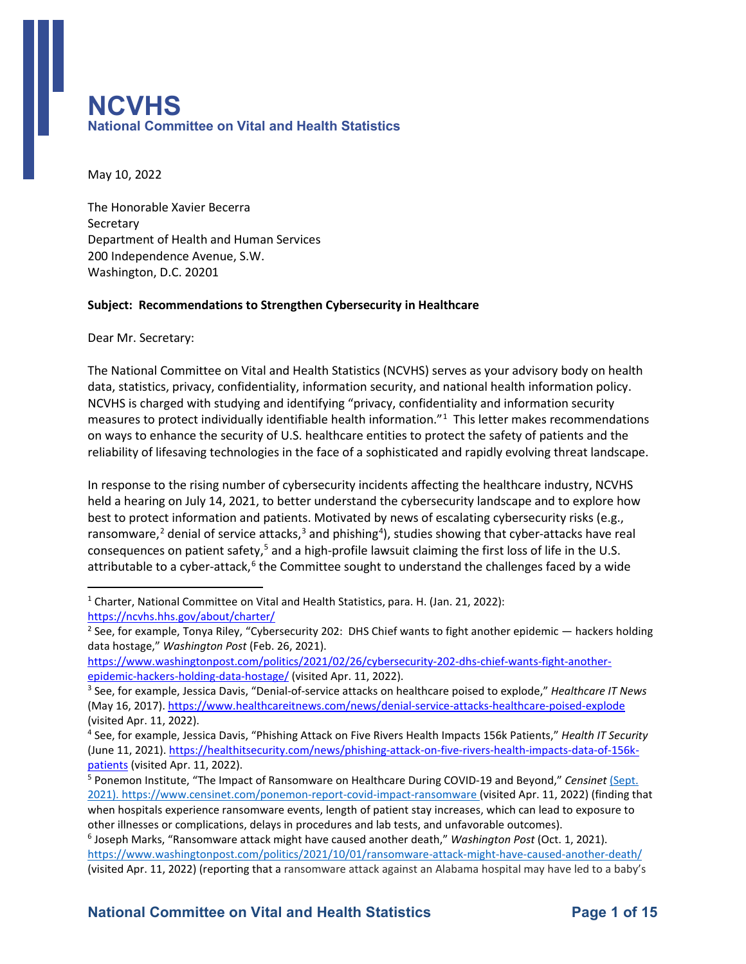## **National Committee on Vital and Health Statistics**  l<br>I **NCVHS**

May 10, 2022

 Department of Health and Human Services The Honorable Xavier Becerra **Secretary** 200 Independence Avenue, S.W. Washington, D.C. 20201

#### **Subject: Recommendations to Strengthen Cybersecurity in Healthcare**

Dear Mr. Secretary:

 The National Committee on Vital and Health Statistics (NCVHS) serves as your advisory body on health measures to protect individually identifiable health information."[1](#page-0-0) This letter makes recommendations reliability of lifesaving technologies in the face of a sophisticated and rapidly evolving threat landscape. data, statistics, privacy, confidentiality, information security, and national health information policy. NCVHS is charged with studying and identifying "privacy, confidentiality and information security on ways to enhance the security of U.S. healthcare entities to protect the safety of patients and the

consequences on patient safety,<sup>5</sup> and a high-profile lawsuit claiming the first loss of life in the U.S. consequences on patient safe[ty](#page-0-5),<sup>[5](#page-0-4)</sup> and a high-profile lawsuit claiming the first loss of life in the U.S.<br>attributable to a cyber-attack,<sup>[6](#page-0-5)</sup> the Committee sought to understand the challenges faced by a wide In response to the rising number of cybersecurity incidents affecting the healthcare industry, NCVHS held a hearing on July 14, 2021, to better understand the cybersecurity landscape and to explore how best to protect information and patients. Motivated by news of escalating cybersecurity risks (e.g., ransomware,<sup>[2](#page-0-1)</sup> denial of service attacks,<sup>[3](#page-0-2)</sup> and phishing<sup>[4](#page-0-3)</sup>), studies showing that cyber-attacks have real

<span id="page-0-0"></span>https://ncvhs.hhs.gov/about/charter/ <sup>1</sup> Charter, National Committee on Vital and Health Statistics, para. H. (Jan. 21, 2022):

<span id="page-0-1"></span><sup>&</sup>lt;sup>2</sup> See, for example, Tonya Riley, "Cybersecurity 202: DHS Chief wants to fight another epidemic — hackers holding data hostage," *Washington Post* (Feb. 26, 2021).

epidemic-hackers-holding-data-hostage/ (visited Apr. 11, 2022). [https://www.washingtonpost.com/politics/2021/02/26/cybersecurity-202-dhs-chief-wants-fight-another-](https://www.washingtonpost.com/politics/2021/02/26/cybersecurity-202-dhs-chief-wants-fight-another-epidemic-hackers-holding-data-hostage/)

<span id="page-0-2"></span><sup>&</sup>lt;sup>3</sup> See, for example, Jessica Davis, "Denial-of-service attacks on healthcare poised to explode," *Healthcare IT News* (May 16, 2017).<https://www.healthcareitnews.com/news/denial-service-attacks-healthcare-poised-explode>

<span id="page-0-3"></span>patients (visited Apr. 11, 2022). (visited Apr. 11, 2022).<br><sup>4</sup> See, for example, Jessica Davis, "Phishing Attack on Five Rivers Health Impacts 156k Patients," *Health IT Security* (June 11, 2021). [https://healthitsecurity.com/news/phishing-attack-on-five-rivers-health-impacts-data-of-156k-](https://healthitsecurity.com/news/phishing-attack-on-five-rivers-health-impacts-data-of-156k-patients)

<span id="page-0-4"></span>other illnesses or complications, delays in procedures and lab tests, and unfavorable outcomes). <sup>5</sup> Ponemon Institute, "The Impact of Ransomware on Healthcare During COVID-19 and Beyond," *Censinet* (Sept. 2021). [https://www.censinet.com/ponemon-report-covid-impact-ransomware \(](https://www.censinet.com/ponemon-report-covid-impact-ransomware)visited Apr. 11, 2022) (finding that when hospitals experience ransomware events, length of patient stay increases, which can lead to exposure to

<span id="page-0-5"></span><sup>&</sup>lt;sup>6</sup> Joseph Marks, "Ransomware attack might have caused another death," *Washington Post* (Oct. 1, 2021). <https://www.washingtonpost.com/politics/2021/10/01/ransomware-attack-might-have-caused-another-death/> (visited Apr. 11, 2022) (reporting that a ransomware attack against an Alabama hospital may have led to a baby's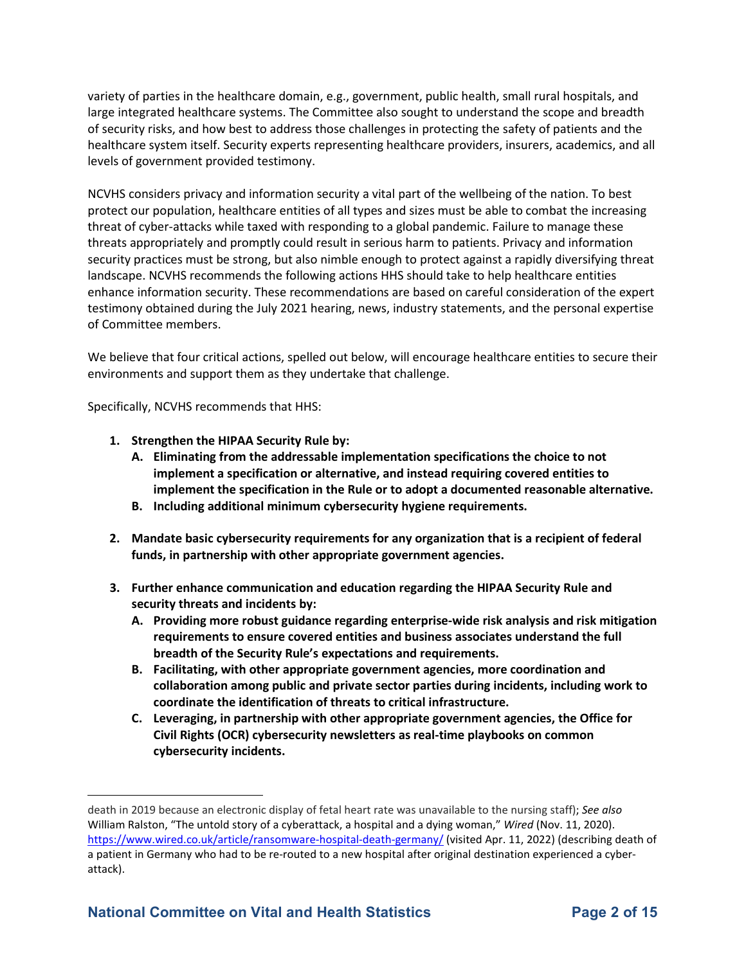variety of parties in the healthcare domain, e.g., government, public health, small rural hospitals, and large integrated healthcare systems. The Committee also sought to understand the scope and breadth of security risks, and how best to address those challenges in protecting the safety of patients and the healthcare system itself. Security experts representing healthcare providers, insurers, academics, and all levels of government provided testimony.

 NCVHS considers privacy and information security a vital part of the wellbeing of the nation. To best threat of cyber-attacks while taxed with responding to a global pandemic. Failure to manage these security practices must be strong, but also nimble enough to protect against a rapidly diversifying threat landscape. NCVHS recommends the following actions HHS should take to help healthcare entities testimony obtained during the July 2021 hearing, news, industry statements, and the personal expertise protect our population, healthcare entities of all types and sizes must be able to combat the increasing threats appropriately and promptly could result in serious harm to patients. Privacy and information enhance information security. These recommendations are based on careful consideration of the expert of Committee members.

We believe that four critical actions, spelled out below, will encourage healthcare entities to secure their environments and support them as they undertake that challenge.

Specifically, NCVHS recommends that HHS:

- **1. Strengthen the HIPAA Security Rule by:** 
	- **A. Eliminating from the addressable implementation specifications the choice to not implement a specification or alternative, and instead requiring covered entities to implement the specification in the Rule or to adopt a documented reasonable alternative.**
	- **B. Including additional minimum cybersecurity hygiene requirements.**
- **2. Mandate basic cybersecurity requirements for any organization that is a recipient of federal funds, in partnership with other appropriate government agencies.**
- **3. Further enhance communication and education regarding the HIPAA Security Rule and security threats and incidents by:** 
	- **A. Providing more robust guidance regarding enterprise-wide risk analysis and risk mitigation requirements to ensure covered entities and business associates understand the full breadth of the Security Rule's expectations and requirements.**
	- **collaboration among public and private sector parties during incidents, including work to coordinate the identification of threats to critical infrastructure. B. Facilitating, with other appropriate government agencies, more coordination and**
	- **Civil Rights (OCR) cybersecurity newsletters as real-time playbooks on common C. Leveraging, in partnership with other appropriate government agencies, the Office for cybersecurity incidents.**

death in 2019 because an electronic display of fetal heart rate was unavailable to the nursing staff); *See also*  William Ralston, "The untold story of a cyberattack, a hospital and a dying woman," *Wired* (Nov. 11, 2020). <https://www.wired.co.uk/article/ransomware-hospital-death-germany/>(visited Apr. 11, 2022) (describing death of a patient in Germany who had to be re-routed to a new hospital after original destination experienced a cyberattack).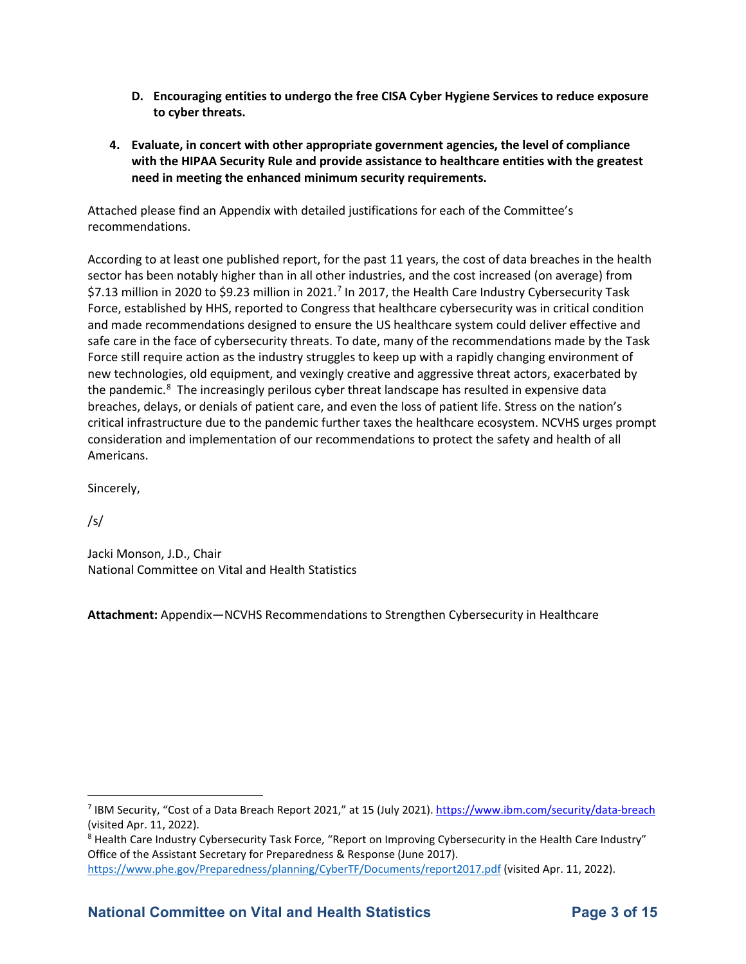- to cyber threats. **D. Encouraging entities to undergo the free CISA Cyber Hygiene Services to reduce exposure**
- **need in meeting the enhanced minimum security requirements. 4.** Evaluate, in concert with other appropriate government agencies, the level of compliance **with the HIPAA Security Rule and provide assistance to healthcare entities with the greatest**

Attached please find an Appendix with detailed justifications for each of the Committee's recommendations.

 According to at least one published report, for the past 11 years, the cost of data breaches in the health \$[7](#page-2-0).13 million in 2020 to \$9.23 million in 2021.<sup>7</sup> In 2017, the Health Care Industry Cybersecurity Task Force, established by HHS, reported to Congress that healthcare cybersecurity was in critical condition the pandemic.<sup>[8](#page-2-1)</sup> The increasingly perilous cyber threat landscape has resulted in expensive data breaches, delays, or denials of patient care, and even the loss of patient life. Stress on the nation's consideration and implementation of our recommendations to protect the safety and health of all sector has been notably higher than in all other industries, and the cost increased (on average) from and made recommendations designed to ensure the US healthcare system could deliver effective and safe care in the face of cybersecurity threats. To date, many of the recommendations made by the Task Force still require action as the industry struggles to keep up with a rapidly changing environment of new technologies, old equipment, and vexingly creative and aggressive threat actors, exacerbated by critical infrastructure due to the pandemic further taxes the healthcare ecosystem. NCVHS urges prompt Americans.

Sincerely,

/s/

Jacki Monson, J.D., Chair National Committee on Vital and Health Statistics

**Attachment:** Appendix—NCVHS Recommendations to Strengthen Cybersecurity in Healthcare

<span id="page-2-0"></span><sup>&</sup>lt;sup>7</sup> IBM Security, "Cost of a Data Breach Report 2021," at 15 (July 2021). https://www.ibm.com/security/data-breach

<span id="page-2-1"></span><sup>(</sup>visited Apr. 11, 2022).<br><sup>8</sup> Health Care Industry Cybersecurity Task Force, "Report on Improving Cybersecurity in the Health Care Industry" Office of the Assistant Secretary for Preparedness & Response (June 2017). [https://www.phe.gov/Preparedness/planning/CyberTF/Documents/report2017.pdf \(](https://www.phe.gov/Preparedness/planning/CyberTF/Documents/report2017.pdf)visited Apr. 11, 2022).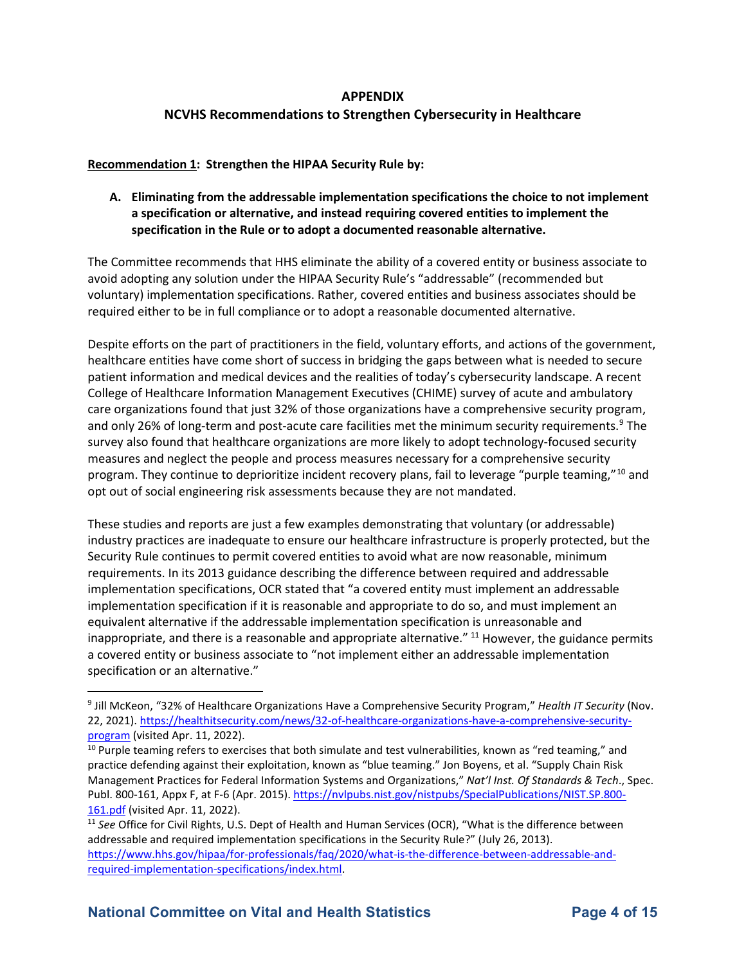#### **APPENDIX**

# **NCVHS Recommendations to Strengthen Cybersecurity in Healthcare<br>Recommendation 1: Strengthen the HIPAA Security Rule by:**

**A. Eliminating from the addressable implementation specifications the choice to not implement a specification or alternative, and instead requiring covered entities to implement the specification in the Rule or to adopt a documented reasonable alternative.** 

The Committee recommends that HHS eliminate the ability of a covered entity or business associate to avoid adopting any solution under the HIPAA Security Rule's "addressable" (recommended but voluntary) implementation specifications. Rather, covered entities and business associates should be required either to be in full compliance or to adopt a reasonable documented alternative.

 Despite efforts on the part of practitioners in the field, voluntary efforts, and actions of the government, College of Healthcare Information Management Executives (CHIME) survey of acute and ambulatory care organizations found that just 32% of those organizations have a comprehensive security program, opt out of social engineering risk assessments because they are not mandated. healthcare entities have come short of success in bridging the gaps between what is needed to secure patient information and medical devices and the realities of today's cybersecurity landscape. A recent and only 26% of long-term and post-acute care facilities met the minimum security requirements.<sup>[9](#page-3-0)</sup> The survey also found that healthcare organizations are more likely to adopt technology-focused security measures and neglect the people and process measures necessary for a comprehensive security program. They continue to deprioritize incident recovery plans, fail to leverage "purple teaming,"<sup>[10](#page-3-1)</sup> and

 industry practices are inadequate to ensure our healthcare infrastructure is properly protected, but the Security Rule continues to permit covered entities to avoid what are now reasonable, minimum implementation specification if it is reasonable and appropriate to do so, and must implement an inappropriate, and there is a reasonable and appropriate alternative." <sup>[11](#page-3-2)</sup> However, the guidance permits These studies and reports are just a few examples demonstrating that voluntary (or addressable) requirements. In its 2013 guidance describing the difference between required and addressable implementation specifications, OCR stated that "a covered entity must implement an addressable equivalent alternative if the addressable implementation specification is unreasonable and a covered entity or business associate to "not implement either an addressable implementation specification or an alternative."

<span id="page-3-0"></span>program (visited Apr. 11, 2022). 9 Jill McKeon, "32% of Healthcare Organizations Have a Comprehensive Security Program," *Health IT Security* (Nov. 22, 2021). [https://healthitsecurity.com/news/32-of-healthcare-organizations-have-a-comprehensive-security-](https://healthitsecurity.com/news/32-of-healthcare-organizations-have-a-comprehensive-security-program)

<span id="page-3-1"></span><sup>161.</sup>pdf (visited Apr. 11, 2022).  $10$  Purple teaming refers to exercises that both simulate and test vulnerabilities, known as "red teaming," and practice defending against their exploitation, known as "blue teaming." Jon Boyens, et al. "Supply Chain Risk Management Practices for Federal Information Systems and Organizations," *Nat'l Inst. Of Standards & Tech*., Spec. Publ. 800-161, Appx F, at F-6 (Apr. 2015). [https://nvlpubs.nist.gov/nistpubs/SpecialPublications/NIST.SP.800-](https://nvlpubs.nist.gov/nistpubs/SpecialPublications/NIST.SP.800-161.pdf)

<span id="page-3-2"></span><sup>&</sup>lt;u>161.pdf</u> (visited Apr. 11, 2022).<br><sup>11</sup> See Office for Civil Rights, U.S. Dept of Health and Human Services (OCR), "What is the difference between [required-implementation-specifications/index.html.](https://www.hhs.gov/hipaa/for-professionals/faq/2020/what-is-the-difference-between-addressable-and-required-implementation-specifications/index.html) addressable and required implementation specifications in the Security Rule?" (July 26, 2013). [https://www.hhs.gov/hipaa/for-professionals/faq/2020/what-is-the-difference-between-addressable-and-](https://www.hhs.gov/hipaa/for-professionals/faq/2020/what-is-the-difference-between-addressable-and-required-implementation-specifications/index.html)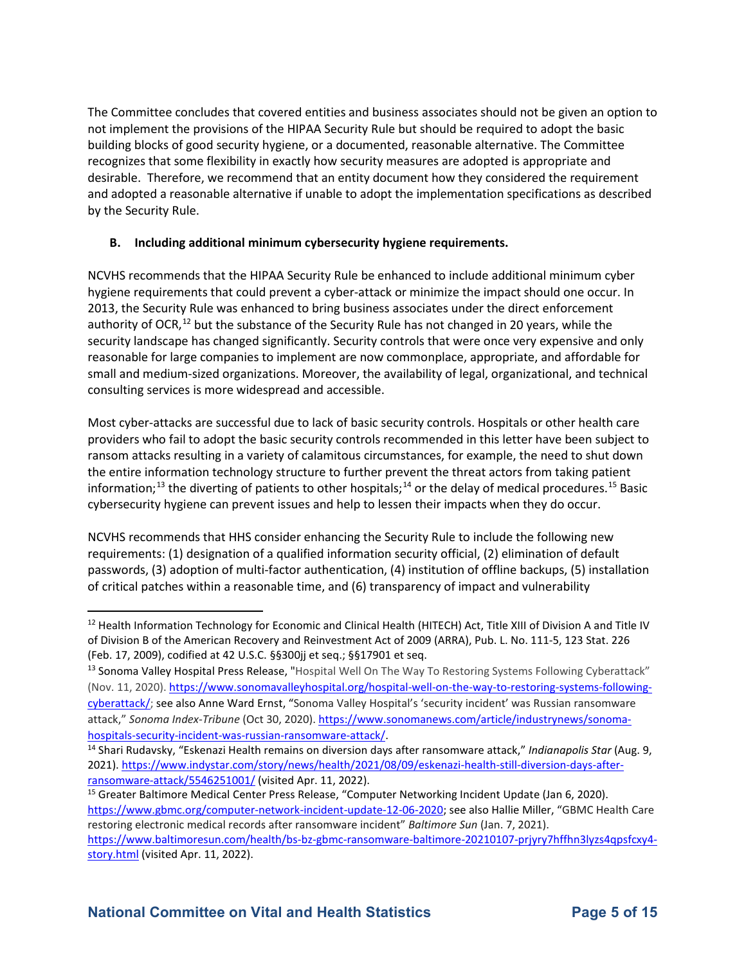The Committee concludes that covered entities and business associates should not be given an option to not implement the provisions of the HIPAA Security Rule but should be required to adopt the basic building blocks of good security hygiene, or a documented, reasonable alternative. The Committee recognizes that some flexibility in exactly how security measures are adopted is appropriate and desirable. Therefore, we recommend that an entity document how they considered the requirement and adopted a reasonable alternative if unable to adopt the implementation specifications as described by the Security Rule.

#### **B. Including additional minimum cybersecurity hygiene requirements.**

 hygiene requirements that could prevent a cyber-attack or minimize the impact should one occur. In security landscape has changed significantly. Security controls that were once very expensive and only small and medium-sized organizations. Moreover, the availability of legal, organizational, and technical consulting services is more widespread and accessible. NCVHS recommends that the HIPAA Security Rule be enhanced to include additional minimum cyber 2013, the Security Rule was enhanced to bring business associates under the direct enforcement authority of OCR,<sup>12</sup> but the substance of the Security Rule has not changed in 20 years, while the reasonable for large companies to implement are now commonplace, appropriate, and affordable for

 Most cyber-attacks are successful due to lack of basic security controls. Hospitals or other health care providers who fail to adopt the basic security controls recommended in this letter have been subject to ransom attacks resulting in a variety of calamitous circumstances, for example, the need to shut down information;<sup>13</sup> the diverting of patients to other hospitals;<sup>14</sup> or the delay of medical procedures.<sup>15</sup> Basic the entire information technology structure to further prevent the threat actors from taking patient cybersecurity hygiene can prevent issues and help to lessen their impacts when they do occur.

 NCVHS recommends that HHS consider enhancing the Security Rule to include the following new passwords, (3) adoption of multi-factor authentication, (4) institution of offline backups, (5) installation requirements: (1) designation of a qualified information security official, (2) elimination of default of critical patches within a reasonable time, and (6) transparency of impact and vulnerability

<span id="page-4-0"></span> $12$  Health Information Technology for Economic and Clinical Health (HITECH) Act, Title XIII of Division A and Title IV of Division B of the American Recovery and Reinvestment Act of 2009 (ARRA), Pub. L. No. 111-5, 123 Stat. 226 (Feb. 17, 2009), codified at 42 U.S.C. §§300jj et seq.; §§17901 et seq.<br><sup>13</sup> Sonoma Valley Hospital Press Release, "Hospital Well On The Way To Restoring Systems Following Cyberattack"

<span id="page-4-1"></span> [cyberattack/;](https://www.sonomavalleyhospital.org/hospital-well-on-the-way-to-restoring-systems-following-cyberattack/) see also Anne Ward Ernst, "Sonoma Valley Hospital's 'security incident' was Russian ransomware (Nov. 11, 2020). [https://www.sonomavalleyhospital.org/hospital-well-on-the-way-to-restoring-systems-following](https://www.sonomavalleyhospital.org/hospital-well-on-the-way-to-restoring-systems-following-cyberattack/)attack," *Sonoma Index-Tribune* (Oct 30, 2020)[. https://www.sonomanews.com/article/industrynews/sonoma-](https://www.sonomanews.com/article/industrynews/sonoma-hospitals-security-incident-was-russian-ransomware-attack/)

<span id="page-4-2"></span>ransomware-attack/5546251001/ (visited Apr. 11, 2022). hospitals-security-incident-was-russian-ransomware-attack/.<br><sup>14</sup> Shari Rudavsky, "Eskenazi Health remains on diversion days after ransomware attack," *Indianapolis Star* (Aug. 9, 2021). [https://www.indystar.com/story/news/health/2021/08/09/eskenazi-health-still-diversion-days-after-](https://www.indystar.com/story/news/health/2021/08/09/eskenazi-health-still-diversion-days-after-ransomware-attack/5546251001/)

<span id="page-4-3"></span><sup>&</sup>lt;sup>15</sup> Greater Baltimore Medical Center Press Release, "Computer Networking Incident Update (Jan 6, 2020). [https://www.gbmc.org/computer-network-incident-update-12-06-2020;](https://www.gbmc.org/computer-network-incident-update-12-06-2020) see also Hallie Miller, "GBMC Health Care restoring electronic medical records after ransomware incident" *Baltimore Sun* (Jan. 7, 2021).

[story.html](https://www.baltimoresun.com/health/bs-bz-gbmc-ransomware-baltimore-20210107-prjyry7hffhn3lyzs4qpsfcxy4-story.html) (visited Apr. 11, 2022). [https://www.baltimoresun.com/health/bs-bz-gbmc-ransomware-baltimore-20210107-prjyry7hffhn3lyzs4qpsfcxy4-](https://www.baltimoresun.com/health/bs-bz-gbmc-ransomware-baltimore-20210107-prjyry7hffhn3lyzs4qpsfcxy4-story.html)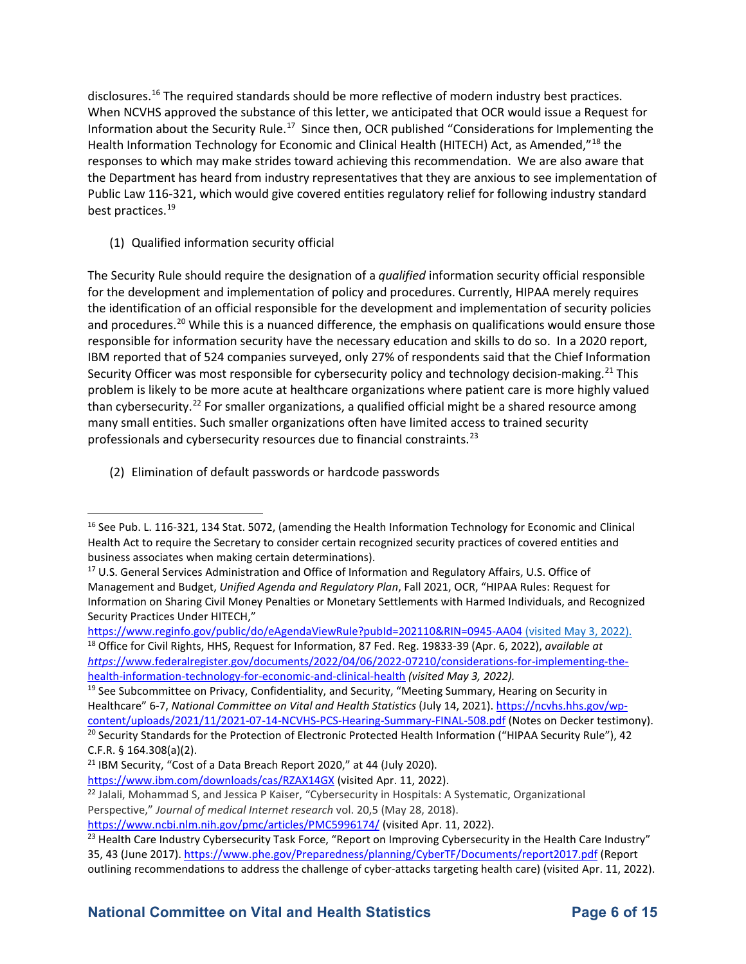When NCVHS approved the substance of this letter, we anticipated that OCR would issue a Request for Information about the Security Rule.<sup>17</sup> Since then, OCR published "Considerations for Implementing the responses to which may make strides toward achieving this recommendation. We are also aware that the Department has heard from industry representatives that they are anxious to see implementation of disclosures.<sup>16</sup> The required standards should be more reflective of modern industry best practices. Health Information Technology for Economic and Clinical Health (HITECH) Act, as Amended,"<sup>[18](#page-5-2)</sup> the Public Law 116-321, which would give covered entities regulatory relief for following industry standard best practices.<sup>[19](#page-5-3)</sup>

(1) Qualified information security official

 The Security Rule should require the designation of a *qualified* information security official responsible for the development and implementation of policy and procedures. Currently, HIPAA merely requires and procedures.<sup>[20](#page-5-4)</sup> While this is a nuanced difference, the emphasis on qualifications would ensure those responsible for information security have the necessary education and skills to do so. In a 2020 report, IBM reported that of 524 companies surveyed, only 27% of respondents said that the Chief Information problem is likely to be more acute at healthcare organizations where patient care is more highly valued than cybersecurity.<sup>[22](#page-5-6)</sup> For smaller organizations, a qualified official might be a shared resource among many small entities. Such smaller organizations often have limited access to trained security the identification of an official responsible for the development and implementation of security policies Security Officer was most responsible for cybersecurity policy and technology decision-making.<sup>21</sup> This professionals and cybersecurity resources due to financial constraints.[23](#page-5-7) 

(2) Elimination of default passwords or hardcode passwords

<span id="page-5-2"></span><https://www.reginfo.gov/public/do/eAgendaViewRule?pubId=202110&RIN=0945-AA04>(visited May 3, 2022). 18 Office for Civil Rights, HHS, Request for Information, 87 Fed. Reg. 19833-39 (Apr. 6, 2022), *available at https*[://www.federalregister.gov/documents/2022/04/06/2022-07210/considerations-for-implementing-the](https://www.federalregister.gov/documents/2022/04/06/2022-07210/considerations-for-implementing-the-health-information-technology-for-economic-and-clinical-health)[health-information-technology-for-economic-and-clinical-health](https://www.federalregister.gov/documents/2022/04/06/2022-07210/considerations-for-implementing-the-health-information-technology-for-economic-and-clinical-health) *(visited May 3, 2022).* 

<span id="page-5-3"></span><sup>19</sup> See Subcommittee on Privacy, Confidentiality, and Security, "Meeting Summary, Hearing on Security in Healthcare" 6-7, *National Committee on Vital and Health Statistics* (July 14, 2021)[. https://ncvhs.hhs.gov/wp](https://ncvhs.hhs.gov/wp-content/uploads/2021/11/2021-07-14-NCVHS-PCS-Hearing-Summary-FINAL-508.pdf)[content/uploads/2021/11/2021-07-14-NCVHS-PCS-Hearing-Summary-FINAL-508.pdf](https://ncvhs.hhs.gov/wp-content/uploads/2021/11/2021-07-14-NCVHS-PCS-Hearing-Summary-FINAL-508.pdf) (Notes on Decker testimony).<br><sup>20</sup> Security Standards for the Protection of Electronic Protected Health Information ("HIPAA Security Rule"), 42

<span id="page-5-0"></span><sup>&</sup>lt;sup>16</sup> See Pub. L. 116-321, 134 Stat. 5072, (amending the Health Information Technology for Economic and Clinical Health Act to require the Secretary to consider certain recognized security practices of covered entities and business associates when making certain determinations).<br><sup>17</sup> U.S. General Services Administration and Office of Information and Regulatory Affairs, U.S. Office of

<span id="page-5-1"></span>Management and Budget, *Unified Agenda and Regulatory Plan*, Fall 2021, OCR, "HIPAA Rules: Request for Information on Sharing Civil Money Penalties or Monetary Settlements with Harmed Individuals, and Recognized Security Practices Under HITECH,"

<span id="page-5-4"></span>C.F.R. § 164.308(a)(2).

<span id="page-5-5"></span><sup>&</sup>lt;sup>21</sup> IBM Security, "Cost of a Data Breach Report 2020," at 44 (July 2020).

https://www.ibm.com/downloads/cas/RZAX14GX (visited Apr. 11, 2022).

<span id="page-5-6"></span><sup>&</sup>lt;sup>22</sup> Jalali, Mohammad S, and Jessica P Kaiser, "Cybersecurity in Hospitals: A Systematic, Organizational Perspective," *Journal of medical Internet research* vol. 20,5 (May 28, 2018).

<span id="page-5-7"></span><https://www.ncbi.nlm.nih.gov/pmc/articles/PMC5996174/>(visited Apr. 11, 2022).<br><sup>23</sup> Health Care Industry Cybersecurity Task Force, "Report on Improving Cybersecurity in the Health Care Industry" 35, 43 (June 2017). [https://www.phe.gov/Preparedness/planning/CyberTF/Documents/report2017.pdf \(](https://www.phe.gov/Preparedness/planning/CyberTF/Documents/report2017.pdf)Report outlining recommendations to address the challenge of cyber-attacks targeting health care) (visited Apr. 11, 2022).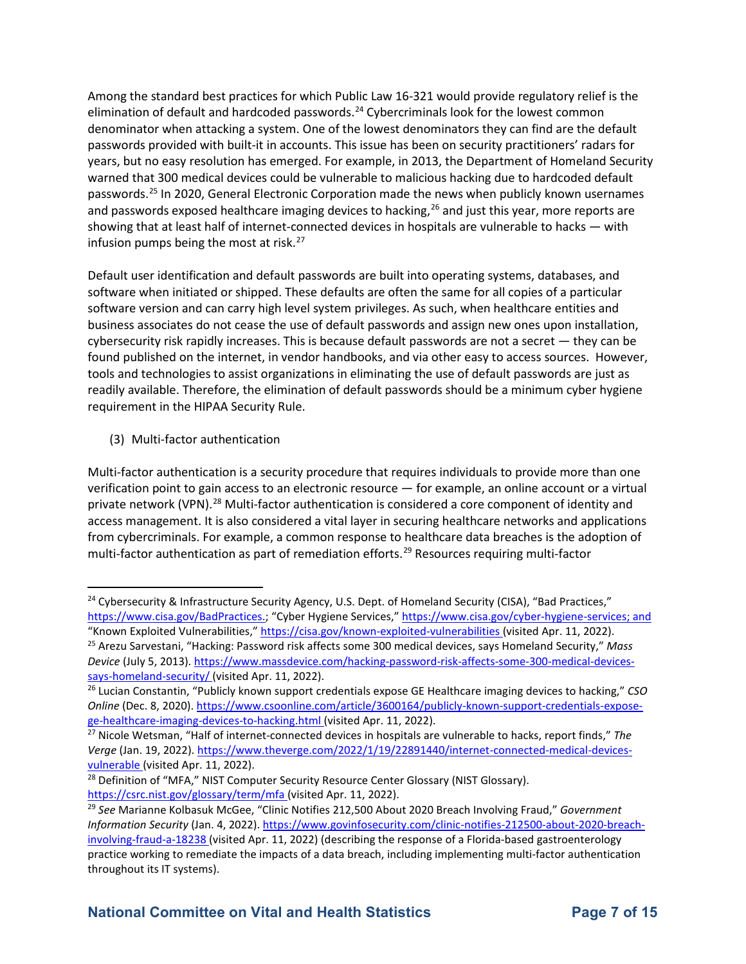denominator when attacking a system. One of the lowest denominators they can find are the default warned that 300 medical devices could be vulnerable to malicious hacking due to hardcoded default passwords.<sup>[25](#page-6-1)</sup> In 2020, General Electronic Corporation made the news when publicly known usernames showing that at least half of internet-connected devices in hospitals are vulnerable to hacks — with infusion pumps being the most at risk.<sup>[27](#page-6-3)</sup> Among the standard best practices for which Public Law 16-321 would provide regulatory relief is the elimination of default and hardcoded passwords.<sup>24</sup> Cybercriminals look for the lowest common passwords provided with built-it in accounts. This issue has been on security practitioners' radars for years, but no easy resolution has emerged. For example, in 2013, the Department of Homeland Security and passwords exposed healthcare imaging devices to hacking,  $^{26}$  and just this year, more reports are

 Default user identification and default passwords are built into operating systems, databases, and software version and can carry high level system privileges. As such, when healthcare entities and found published on the internet, in vendor handbooks, and via other easy to access sources. However, tools and technologies to assist organizations in eliminating the use of default passwords are just as readily available. Therefore, the elimination of default passwords should be a minimum cyber hygiene software when initiated or shipped. These defaults are often the same for all copies of a particular business associates do not cease the use of default passwords and assign new ones upon installation, cybersecurity risk rapidly increases. This is because default passwords are not a secret — they can be requirement in the HIPAA Security Rule.

(3) Multi-factor authentication

 verification point to gain access to an electronic resource — for example, an online account or a virtual Multi-factor authentication is a security procedure that requires individuals to provide more than one private network (VPN).<sup>28</sup> Multi-factor authentication is considered a core component of identity and access management. It is also considered a vital layer in securing healthcare networks and applications from cybercriminals. For example, a common response to healthcare data breaches is the adoption of multi-factor authentication as part of remediation efforts.<sup>[29](#page-6-5)</sup> Resources requiring multi-factor

<span id="page-6-0"></span><sup>&</sup>lt;sup>24</sup> Cybersecurity & Infrastructure Security Agency, U.S. Dept. of Homeland Security (CISA), "Bad Practices," [https://www.cisa.gov/BadPractices.;](https://www.cisa.gov/BadPractices) "Cyber Hygiene Services," [https://www.cisa.gov/cyber-hygiene-services;](https://www.cisa.gov/cyber-hygiene-services) and "Known Exploited Vulnerabilities," [https://cisa.gov/known-exploited-vulnerabilities \(](https://cisa.gov/known-exploited-vulnerabilities)visited Apr. 11, 2022).<br><sup>25</sup> Arezu Sarvestani, "Hacking: Password risk affects some 300 medical devices, says Homeland Security," Mass

<span id="page-6-1"></span>*Device* (July 5, 2013)[. https://www.massdevice.com/hacking-password-risk-affects-some-300-medical-devices](https://www.massdevice.com/hacking-password-risk-affects-some-300-medical-devices-says-homeland-security/)[says-homeland-security/](https://www.massdevice.com/hacking-password-risk-affects-some-300-medical-devices-says-homeland-security/) (visited Apr. 11, 2022). 26 Lucian Constantin, "Publicly known support credentials expose GE Healthcare imaging devices to hacking," *CSO* 

<span id="page-6-2"></span>*Online* (Dec. 8, 2020). https://www.csoonline.com/article/3600164/publicly-known-support-credentials-expose-<br>ge-healthcare-imaging-devices-to-hacking.html (visited Apr. 11, 2022).

<span id="page-6-3"></span><sup>&</sup>lt;sup>27</sup> Nicole Wetsman, "Half of internet-connected devices in hospitals are vulnerable to hacks, report finds," The *Verge* (Jan. 19, 2022). [https://www.theverge.com/2022/1/19/22891440/internet-connected-medical-devices](https://www.theverge.com/2022/1/19/22891440/internet-connected-medical-devices-vulnerable)[vulnerable](https://www.theverge.com/2022/1/19/22891440/internet-connected-medical-devices-vulnerable) (visited Apr. 11, 2022).<br><sup>28</sup> Definition of "MFA," NIST Computer Security Resource Center Glossary (NIST Glossary).

<span id="page-6-4"></span>

<span id="page-6-5"></span> <https://csrc.nist.gov/glossary/term/mfa>(visited Apr. 11, 2022). 29 *See* Marianne Kolbasuk McGee, "Clinic Notifies 212,500 About 2020 Breach Involving Fraud," *Government Information Security* (Jan. 4, 2022). [https://www.govinfosecurity.com/clinic-notifies-212500-about-2020-breach](https://www.govinfosecurity.com/clinic-notifies-212500-about-2020-breach-involving-fraud-a-18238)[involving-fraud-a-18238 \(](https://www.govinfosecurity.com/clinic-notifies-212500-about-2020-breach-involving-fraud-a-18238)visited Apr. 11, 2022) (describing the response of a Florida-based gastroenterology practice working to remediate the impacts of a data breach, including implementing multi-factor authentication throughout its IT systems).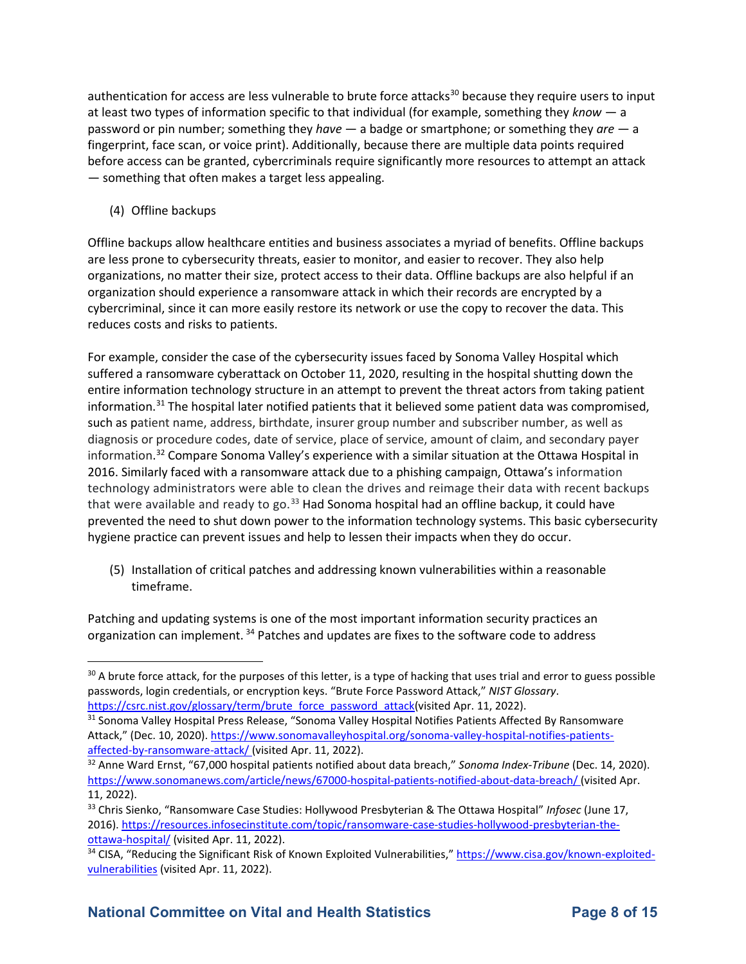authentication for access are less vulnerable to brute force attacks<sup>30</sup> because they require users to input at least two types of information specific to that individual (for example, something they *know* — a password or pin number; something they *have* — a badge or smartphone; or something they *are* — a fingerprint, face scan, or voice print). Additionally, because there are multiple data points required before access can be granted, cybercriminals require significantly more resources to attempt an attack — something that often makes a target less appealing.

(4) Offline backups

 cybercriminal, since it can more easily restore its network or use the copy to recover the data. This Offline backups allow healthcare entities and business associates a myriad of benefits. Offline backups are less prone to cybersecurity threats, easier to monitor, and easier to recover. They also help organizations, no matter their size, protect access to their data. Offline backups are also helpful if an organization should experience a ransomware attack in which their records are encrypted by a reduces costs and risks to patients.

 For example, consider the case of the cybersecurity issues faced by Sonoma Valley Hospital which suffered a ransomware cyberattack on October 11, 2020, resulting in the hospital shutting down the diagnosis or procedure codes, date of service, place of service, amount of claim, and secondary payer information.<sup>[32](#page-7-2)</sup> Compare Sonoma Valley's experience with a similar situation at the Ottawa Hospital in hygiene practice can prevent issues and help to lessen their impacts when they do occur. entire information technology structure in an attempt to prevent the threat actors from taking patient information.<sup>31</sup> The hospital later notified patients that it believed some patient data was compromised, such as patient name, address, birthdate, insurer group number and subscriber number, as well as 2016. Similarly faced with a ransomware attack due to a phishing campaign, Ottawa's information technology administrators were able to clean the drives and reimage their data with recent backups that were available and ready to go.<sup>33</sup> Had Sonoma hospital had an offline backup, it could have prevented the need to shut down power to the information technology systems. This basic cybersecurity

(5) Installation of critical patches and addressing known vulnerabilities within a reasonable timeframe.

 Patching and updating systems is one of the most important information security practices an organization can implement. <sup>34</sup> Patches and updates are fixes to the software code to address

<span id="page-7-0"></span><sup>&</sup>lt;sup>30</sup> A brute force attack, for the purposes of this letter, is a type of hacking that uses trial and error to guess possible passwords, login credentials, or encryption keys. "Brute Force Password Attack," *NIST Glossary*.

<span id="page-7-1"></span>[https://csrc.nist.gov/glossary/term/brute\\_force\\_password\\_attack\(](https://csrc.nist.gov/glossary/term/brute_force_password_attack)visited Apr. 11, 2022).<br><sup>31</sup> Sonoma Valley Hospital Press Release, "Sonoma Valley Hospital Notifies Patients Affected By Ransomware Attack," (Dec. 10, 2020). https://www.sonomavalleyhospital.org/sonoma-valley-hospital-notifies-patients-<br>affected-by-ransomware-attack/ (visited Apr. 11, 2022).

<span id="page-7-2"></span><sup>&</sup>lt;sup>32</sup> Anne Ward Ernst, "67,000 hospital patients notified about data breach," Sonoma Index-Tribune (Dec. 14, 2020). [https://www.sonomanews.com/article/news/67000-hospital-patients-notified-about-data-breach/ \(](https://www.sonomanews.com/article/news/67000-hospital-patients-notified-about-data-breach/)visited Apr. 11, 2022). 33 Chris Sienko, "Ransomware Case Studies: Hollywood Presbyterian & The Ottawa Hospital" *Infosec* (June 17,

<span id="page-7-3"></span>ottawa-hospital/ (visited Apr. 11, 2022). 2016). [https://resources.infosecinstitute.com/topic/ransomware-case-studies-hollywood-presbyterian-the-](https://resources.infosecinstitute.com/topic/ransomware-case-studies-hollywood-presbyterian-the-ottawa-hospital/)

<span id="page-7-4"></span>[vulnerabilities](https://www.cisa.gov/known-exploited-vulnerabilities) (visited Apr. 11, 2022). 34 CISA, "Reducing the Significant Risk of Known Exploited Vulnerabilities," [https://www.cisa.gov/known-exploited-](https://www.cisa.gov/known-exploited-vulnerabilities)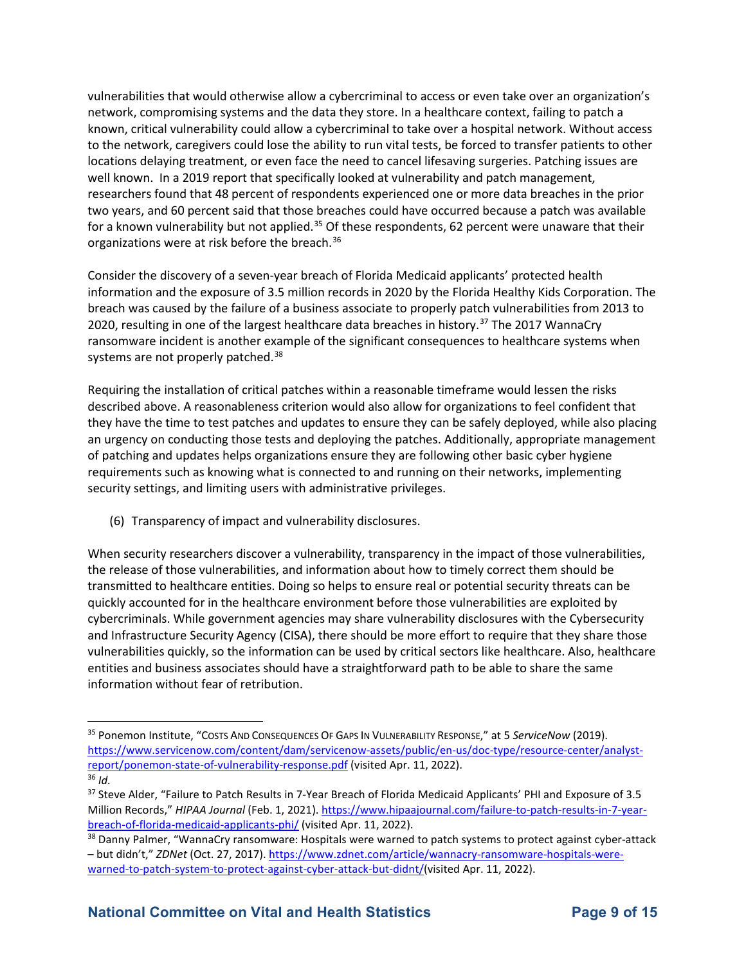vulnerabilities that would otherwise allow a cybercriminal to access or even take over an organization's network, compromising systems and the data they store. In a healthcare context, failing to patch a to the network, caregivers could lose the ability to run vital tests, be forced to transfer patients to other researchers found that 48 percent of respondents experienced one or more data breaches in the prior two years, and 60 percent said that those breaches could have occurred because a patch was available organizations were at risk before the breach.<sup>[36](#page-8-1)</sup> known, critical vulnerability could allow a cybercriminal to take over a hospital network. Without access locations delaying treatment, or even face the need to cancel lifesaving surgeries. Patching issues are well known. In a 2019 report that specifically looked at vulnerability and patch management, for a known vulnerability but not applied.<sup>35</sup> Of these respondents, 62 percent were unaware that their

 information and the exposure of 3.5 million records in 2020 by the Florida Healthy Kids Corporation. The 2020, resulting in one of the largest healthcare data breaches in history.<sup>[37](#page-8-2)</sup> The 2017 WannaCry ransomware incident is another example of the significant consequences to healthcare systems when systems are not properly patched.<sup>[38](#page-8-3)</sup> Consider the discovery of a seven-year breach of Florida Medicaid applicants' protected health breach was caused by the failure of a business associate to properly patch vulnerabilities from 2013 to

 Requiring the installation of critical patches within a reasonable timeframe would lessen the risks described above. A reasonableness criterion would also allow for organizations to feel confident that requirements such as knowing what is connected to and running on their networks, implementing they have the time to test patches and updates to ensure they can be safely deployed, while also placing an urgency on conducting those tests and deploying the patches. Additionally, appropriate management of patching and updates helps organizations ensure they are following other basic cyber hygiene security settings, and limiting users with administrative privileges.

(6) Transparency of impact and vulnerability disclosures.

 the release of those vulnerabilities, and information about how to timely correct them should be entities and business associates should have a straightforward path to be able to share the same When security researchers discover a vulnerability, transparency in the impact of those vulnerabilities, transmitted to healthcare entities. Doing so helps to ensure real or potential security threats can be quickly accounted for in the healthcare environment before those vulnerabilities are exploited by cybercriminals. While government agencies may share vulnerability disclosures with the Cybersecurity and Infrastructure Security Agency (CISA), there should be more effort to require that they share those vulnerabilities quickly, so the information can be used by critical sectors like healthcare. Also, healthcare information without fear of retribution.

<span id="page-8-0"></span> 35 Ponemon Institute, "COSTS AND CONSEQUENCES OF GAPS IN VULNERABILITY RESPONSE," at 5 *ServiceNow* (2019). [report/ponemon-state-of-vulnerability-response.pdf \(](https://www.servicenow.com/content/dam/servicenow-assets/public/en-us/doc-type/resource-center/analyst-report/ponemon-state-of-vulnerability-response.pdf)visited Apr. 11, 2022). 36 *Id.*  $36$  Id. [https://www.servicenow.com/content/dam/servicenow-assets/public/en-us/doc-type/resource-center/analyst-](https://www.servicenow.com/content/dam/servicenow-assets/public/en-us/doc-type/resource-center/analyst-report/ponemon-state-of-vulnerability-response.pdf)

<span id="page-8-2"></span><span id="page-8-1"></span>breach-of-florida-medicaid-applicants-phi/ (visited Apr. 11, 2022). <sup>37</sup> Steve Alder, "Failure to Patch Results in 7-Year Breach of Florida Medicaid Applicants' PHI and Exposure of 3.5 Million Records," *HIPAA Journal* (Feb. 1, 2021). [https://www.hipaajournal.com/failure-to-patch-results-in-7-year-](https://www.hipaajournal.com/failure-to-patch-results-in-7-year-breach-of-florida-medicaid-applicants-phi/)

<span id="page-8-3"></span><sup>&</sup>lt;sup>38</sup> Danny Palmer, "WannaCry ransomware: Hospitals were warned to patch systems to protect against cyber-attack – but didn't," *ZDNet* (Oct. 27, 2017). [https://www.zdnet.com/article/wannacry-ransomware-hospitals-were](https://www.zdnet.com/article/wannacry-ransomware-hospitals-were-warned-to-patch-system-to-protect-against-cyber-attack-but-didnt/)[warned-to-patch-system-to-protect-against-cyber-attack-but-didnt/\(](https://www.zdnet.com/article/wannacry-ransomware-hospitals-were-warned-to-patch-system-to-protect-against-cyber-attack-but-didnt/)visited Apr. 11, 2022).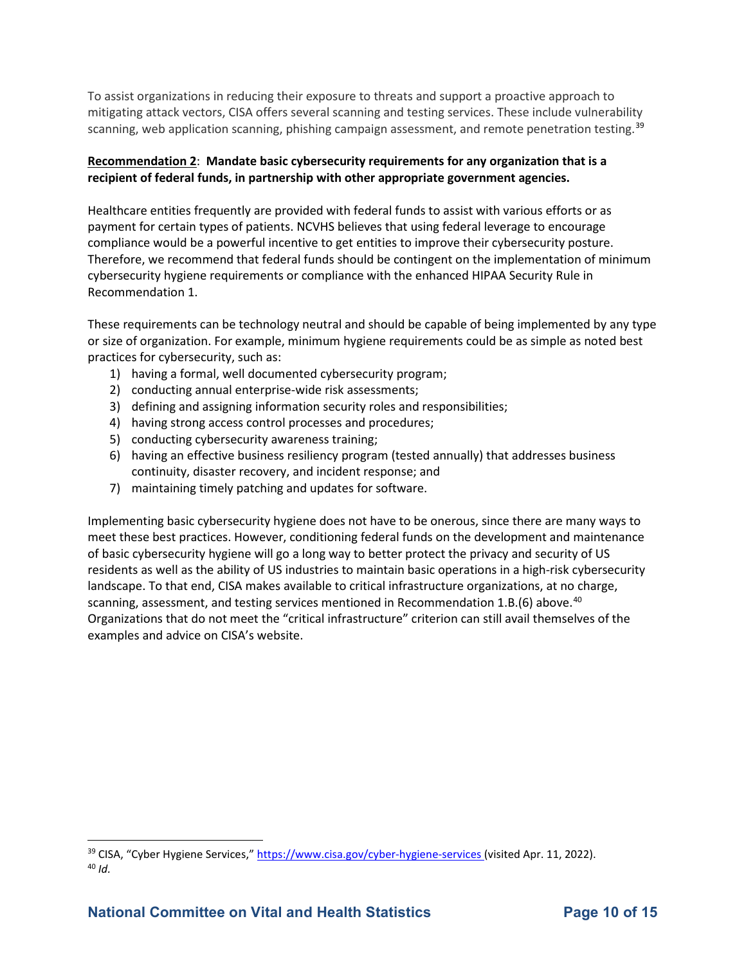To assist organizations in reducing their exposure to threats and support a proactive approach to mitigating attack vectors, CISA offers several scanning and testing services. These include vulnerability scanning, web application scanning, phishing campaign assessment, and remote penetration testing.<sup>39</sup>

#### **Recommendation 2**: **Mandate basic cybersecurity requirements for any organization that is a recipient of federal funds, in partnership with other appropriate government agencies.**

 Healthcare entities frequently are provided with federal funds to assist with various efforts or as Therefore, we recommend that federal funds should be contingent on the implementation of minimum payment for certain types of patients. NCVHS believes that using federal leverage to encourage compliance would be a powerful incentive to get entities to improve their cybersecurity posture. cybersecurity hygiene requirements or compliance with the enhanced HIPAA Security Rule in Recommendation 1.

 or size of organization. For example, minimum hygiene requirements could be as simple as noted best practices for cybersecurity, such as: These requirements can be technology neutral and should be capable of being implemented by any type

- 1) having a formal, well documented cybersecurity program;
- 2) conducting annual enterprise-wide risk assessments;
- 3) defining and assigning information security roles and responsibilities;
- 4) having strong access control processes and procedures;
- 5) conducting cybersecurity awareness training;
- 6) having an effective business resiliency program (tested annually) that addresses business continuity, disaster recovery, and incident response; and
- 7) maintaining timely patching and updates for software.

 Implementing basic cybersecurity hygiene does not have to be onerous, since there are many ways to residents as well as the ability of US industries to maintain basic operations in a high-risk cybersecurity scanning, assessment, and testing services mentioned in Recommendation 1.B.(6) above.<sup>40</sup> Organizations that do not meet the "critical infrastructure" criterion can still avail themselves of the meet these best practices. However, conditioning federal funds on the development and maintenance of basic cybersecurity hygiene will go a long way to better protect the privacy and security of US landscape. To that end, CISA makes available to critical infrastructure organizations, at no charge, examples and advice on CISA's website.

<span id="page-9-1"></span><span id="page-9-0"></span><sup>&</sup>lt;sup>39</sup> CISA, "Cyber Hygiene Services," [https://www.cisa.gov/cyber-hygiene-services \(](https://www.cisa.gov/cyber-hygiene-services)visited Apr. 11, 2022).<br><sup>40</sup> *Id*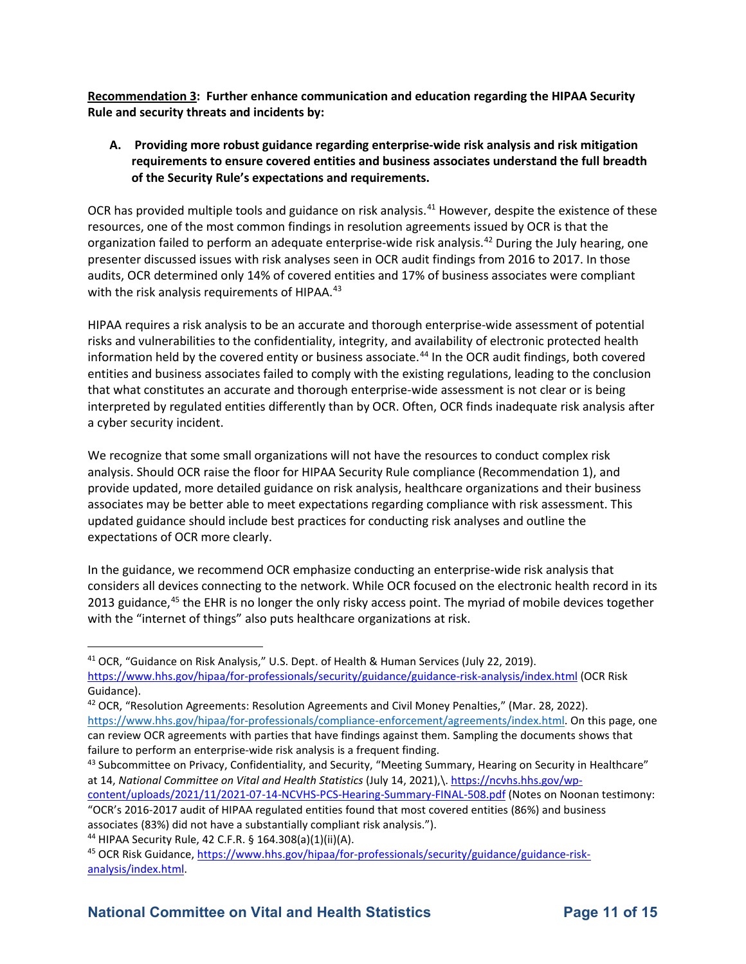**Recommendation 3: Further enhance communication and education regarding the HIPAA Security Rule and security threats and incidents by:** 

#### **A. Providing more robust guidance regarding enterprise-wide risk analysis and risk mitigation requirements to ensure covered entities and business associates understand the full breadth of the Security Rule's expectations and requirements.**

OCR has provided multiple tools and guidance on risk analysis.<sup>41</sup> However, despite the existence of these resources, one of the most common findings in resolution agreements issued by OCR is that the organization failed to perform an adequate enterprise-wide risk analysis.<sup>42</sup> During the July hearing, one presenter discussed issues with risk analyses seen in OCR audit findings from 2016 to 2017. In those with the risk analysis requirements of HIPAA.<sup>43</sup> audits, OCR determined only 14% of covered entities and 17% of business associates were compliant

 risks and vulnerabilities to the confidentiality, integrity, and availability of electronic protected health HIPAA requires a risk analysis to be an accurate and thorough enterprise-wide assessment of potential information held by the covered entity or business associate.<sup>44</sup> In the OCR audit findings, both covered entities and business associates failed to comply with the existing regulations, leading to the conclusion that what constitutes an accurate and thorough enterprise-wide assessment is not clear or is being interpreted by regulated entities differently than by OCR. Often, OCR finds inadequate risk analysis after a cyber security incident.

 analysis. Should OCR raise the floor for HIPAA Security Rule compliance (Recommendation 1), and associates may be better able to meet expectations regarding compliance with risk assessment. This expectations of OCR more clearly. We recognize that some small organizations will not have the resources to conduct complex risk provide updated, more detailed guidance on risk analysis, healthcare organizations and their business updated guidance should include best practices for conducting risk analyses and outline the

2013 guidance,<sup>[45](#page-10-4)</sup> the EHR is no longer the only risky access point. The myriad of mobile devices together with the "internet of things" also puts healthcare organizations at risk. In the guidance, we recommend OCR emphasize conducting an enterprise-wide risk analysis that considers all devices connecting to the network. While OCR focused on the electronic health record in its

<span id="page-10-1"></span>42 OCR, "Resolution Agreements: Resolution Agreements and Civil Money Penalties," (Mar. 28, 2022).

<span id="page-10-0"></span><sup>41</sup> OCR, "Guidance on Risk Analysis," U.S. Dept. of Health & Human Services (July 22, 2019). <https://www.hhs.gov/hipaa/for-professionals/security/guidance/guidance-risk-analysis/index.html>(OCR Risk Guidance).

[https://www.hhs.gov/hipaa/for-professionals/compliance-enforcement/agreements/index.html.](https://www.hhs.gov/hipaa/for-professionals/compliance-enforcement/agreements/index.html) On this page, one can review OCR agreements with parties that have findings against them. Sampling the documents shows that failure to perform an enterprise-wide risk analysis is a frequent finding.<br><sup>43</sup> Subcommittee on Privacy, Confidentiality, and Security, "Meeting Summary, Hearing on Security in Healthcare"

<span id="page-10-2"></span>at 14, *National Committee on Vital and Health Statistics* (July 14, 2021),\[. https://ncvhs.hhs.gov/wp](https://ncvhs.hhs.gov/wp-content/uploads/2021/11/2021-07-14-NCVHS-PCS-Hearing-Summary-FINAL-508.pdf)[content/uploads/2021/11/2021-07-14-NCVHS-PCS-Hearing-Summary-FINAL-508.pdf](https://ncvhs.hhs.gov/wp-content/uploads/2021/11/2021-07-14-NCVHS-PCS-Hearing-Summary-FINAL-508.pdf) (Notes on Noonan testimony:

<sup>&</sup>quot;OCR's 2016-2017 audit of HIPAA regulated entities found that most covered entities (86%) and business associates (83%) did not have a substantially compliant risk analysis.").<br><sup>44</sup> HIPAA Security Rule, 42 C.F.R. § 164.308(a)(1)(ii)(A).<br><sup>45</sup> OCR Risk Guidance, https://www.hhs.gov/hipaa/for-professionals/security/guidance/gu

<span id="page-10-3"></span>

<span id="page-10-4"></span>[analysis/index.html.](https://www.hhs.gov/hipaa/for-professionals/security/guidance/guidance-risk-analysis/index.html)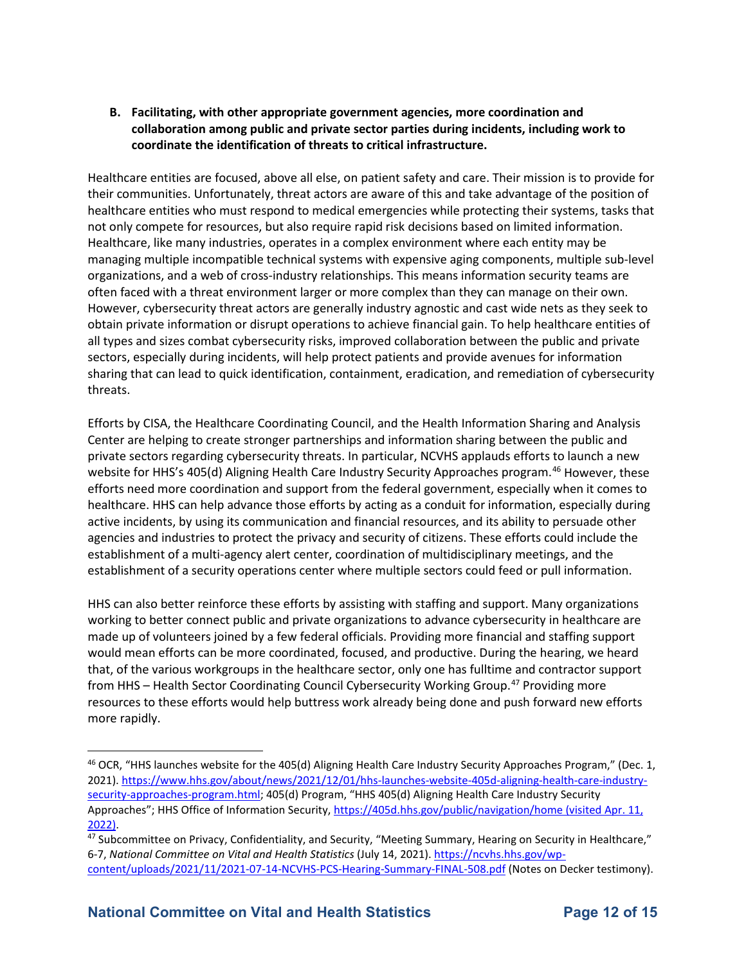### **collaboration among public and private sector parties during incidents, including work to coordinate the identification of threats to critical infrastructure. B. Facilitating, with other appropriate government agencies, more coordination and**

 Healthcare entities are focused, above all else, on patient safety and care. Their mission is to provide for their communities. Unfortunately, threat actors are aware of this and take advantage of the position of healthcare entities who must respond to medical emergencies while protecting their systems, tasks that not only compete for resources, but also require rapid risk decisions based on limited information. often faced with a threat environment larger or more complex than they can manage on their own. However, cybersecurity threat actors are generally industry agnostic and cast wide nets as they seek to obtain private information or disrupt operations to achieve financial gain. To help healthcare entities of all types and sizes combat cybersecurity risks, improved collaboration between the public and private Healthcare, like many industries, operates in a complex environment where each entity may be managing multiple incompatible technical systems with expensive aging components, multiple sub-level organizations, and a web of cross-industry relationships. This means information security teams are sectors, especially during incidents, will help protect patients and provide avenues for information sharing that can lead to quick identification, containment, eradication, and remediation of cybersecurity threats.

 agencies and industries to protect the privacy and security of citizens. These efforts could include the establishment of a multi-agency alert center, coordination of multidisciplinary meetings, and the Efforts by CISA, the Healthcare Coordinating Council, and the Health Information Sharing and Analysis Center are helping to create stronger partnerships and information sharing between the public and private sectors regarding cybersecurity threats. In particular, NCVHS applauds efforts to launch a new website for HHS's 405(d) Aligning Health Care Industry Security Approaches program.<sup>46</sup> However, these efforts need more coordination and support from the federal government, especially when it comes to healthcare. HHS can help advance those efforts by acting as a conduit for information, especially during active incidents, by using its communication and financial resources, and its ability to persuade other establishment of a security operations center where multiple sectors could feed or pull information.

 would mean efforts can be more coordinated, focused, and productive. During the hearing, we heard that, of the various workgroups in the healthcare sector, only one has fulltime and contractor support resources to these efforts would help buttress work already being done and push forward new efforts HHS can also better reinforce these efforts by assisting with staffing and support. Many organizations working to better connect public and private organizations to advance cybersecurity in healthcare are made up of volunteers joined by a few federal officials. Providing more financial and staffing support from HHS – Health Sector Coordinating Council Cybersecurity Working Group.<sup>47</sup> Providing more more rapidly.

<span id="page-11-0"></span>Approaches"; HHS Office of Information Security,<https://405d.hhs.gov/public/navigation/home>(visited Apr. 11, 46 OCR, "HHS launches website for the 405(d) Aligning Health Care Industry Security Approaches Program," (Dec. 1, 2021). [https://www.hhs.gov/about/news/2021/12/01/hhs-launches-website-405d-aligning-health-care-industry](https://www.hhs.gov/about/news/2021/12/01/hhs-launches-website-405d-aligning-health-care-industry-security-approaches-program.html)[security-approaches-program.html;](https://www.hhs.gov/about/news/2021/12/01/hhs-launches-website-405d-aligning-health-care-industry-security-approaches-program.html) 405(d) Program, "HHS 405(d) Aligning Health Care Industry Security 2022).<br><sup>47</sup> Subcommittee on Privacy, Confidentiality, and Security, "Meeting Summary, Hearing on Security in Healthcare,"

<span id="page-11-1"></span><sup>6-7,</sup> *National Committee on Vital and Health Statistics* (July 14, 2021)[. https://ncvhs.hhs.gov/wp](https://ncvhs.hhs.gov/wp-content/uploads/2021/11/2021-07-14-NCVHS-PCS-Hearing-Summary-FINAL-508.pdf)[content/uploads/2021/11/2021-07-14-NCVHS-PCS-Hearing-Summary-FINAL-508.pdf](https://ncvhs.hhs.gov/wp-content/uploads/2021/11/2021-07-14-NCVHS-PCS-Hearing-Summary-FINAL-508.pdf) (Notes on Decker testimony).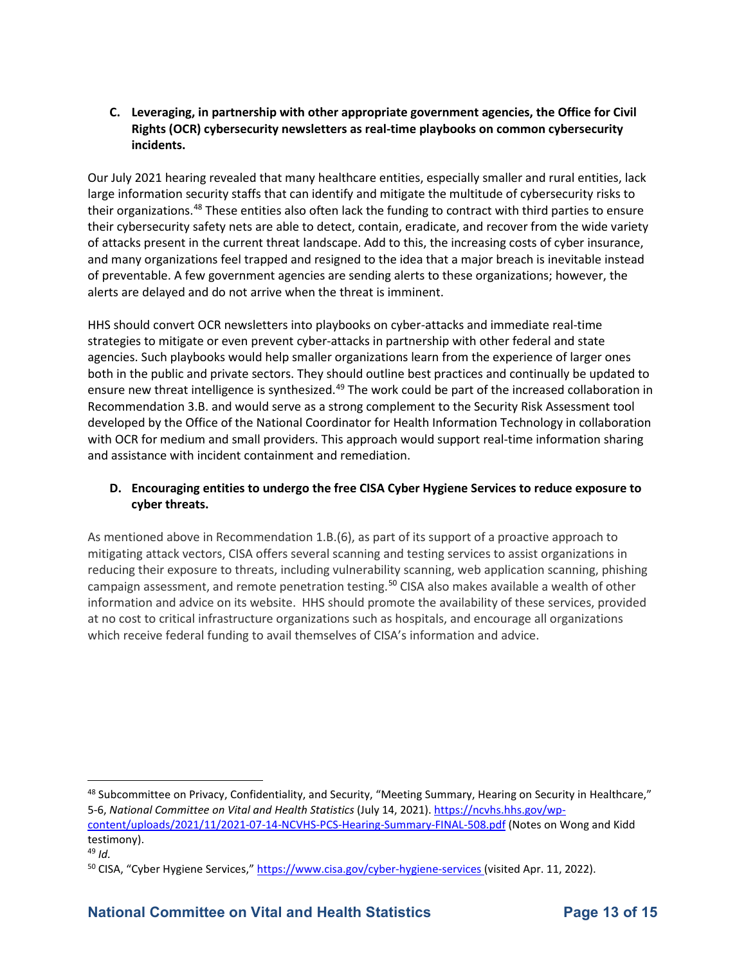#### **C. Leveraging, in partnership with other appropriate government agencies, the Office for Civil Rights (OCR) cybersecurity newsletters as real-time playbooks on common cybersecurity incidents.**

 large information security staffs that can identify and mitigate the multitude of cybersecurity risks to their cybersecurity safety nets are able to detect, contain, eradicate, and recover from the wide variety Our July 2021 hearing revealed that many healthcare entities, especially smaller and rural entities, lack their organizations.<sup>[48](#page-12-0)</sup> These entities also often lack the funding to contract with third parties to ensure of attacks present in the current threat landscape. Add to this, the increasing costs of cyber insurance, and many organizations feel trapped and resigned to the idea that a major breach is inevitable instead of preventable. A few government agencies are sending alerts to these organizations; however, the alerts are delayed and do not arrive when the threat is imminent.

 agencies. Such playbooks would help smaller organizations learn from the experience of larger ones both in the public and private sectors. They should outline best practices and continually be updated to Recommendation 3.B. and would serve as a strong complement to the Security Risk Assessment tool HHS should convert OCR newsletters into playbooks on cyber-attacks and immediate real-time strategies to mitigate or even prevent cyber-attacks in partnership with other federal and state ensure new threat intelligence is synthesized.<sup>49</sup> The work could be part of the increased collaboration in developed by the Office of the National Coordinator for Health Information Technology in collaboration with OCR for medium and small providers. This approach would support real-time information sharing and assistance with incident containment and remediation.

#### **D. Encouraging entities to undergo the free CISA Cyber Hygiene Services to reduce exposure to cyber threats.**

 As mentioned above in Recommendation 1.B.(6), as part of its support of a proactive approach to mitigating attack vectors, CISA offers several scanning and testing services to assist organizations in at no cost to critical infrastructure organizations such as hospitals, and encourage all organizations reducing their exposure to threats, including vulnerability scanning, web application scanning, phishing campaign assessment, and remote penetration testing.<sup>50</sup> CISA also makes available a wealth of other information and advice on its website. HHS should promote the availability of these services, provided which receive federal funding to avail themselves of CISA's information and advice.

<span id="page-12-0"></span><sup>&</sup>lt;sup>48</sup> Subcommittee on Privacy, Confidentiality, and Security, "Meeting Summary, Hearing on Security in Healthcare," 5-6, *National Committee on Vital and Health Statistics* (July 14, 2021)[. https://ncvhs.hhs.gov/wp-](https://ncvhs.hhs.gov/wp-content/uploads/2021/11/2021-07-14-NCVHS-PCS-Hearing-Summary-FINAL-508.pdf)

[content/uploads/2021/11/2021-07-14-NCVHS-PCS-Hearing-Summary-FINAL-508.pdf](https://ncvhs.hhs.gov/wp-content/uploads/2021/11/2021-07-14-NCVHS-PCS-Hearing-Summary-FINAL-508.pdf) (Notes on Wong and Kidd testimony).

<span id="page-12-1"></span> 49 *Id.* 

<span id="page-12-2"></span><sup>50</sup> CISA, "Cyber Hygiene Services," [https://www.cisa.gov/cyber-hygiene-services \(](https://www.cisa.gov/cyber-hygiene-services)visited Apr. 11, 2022).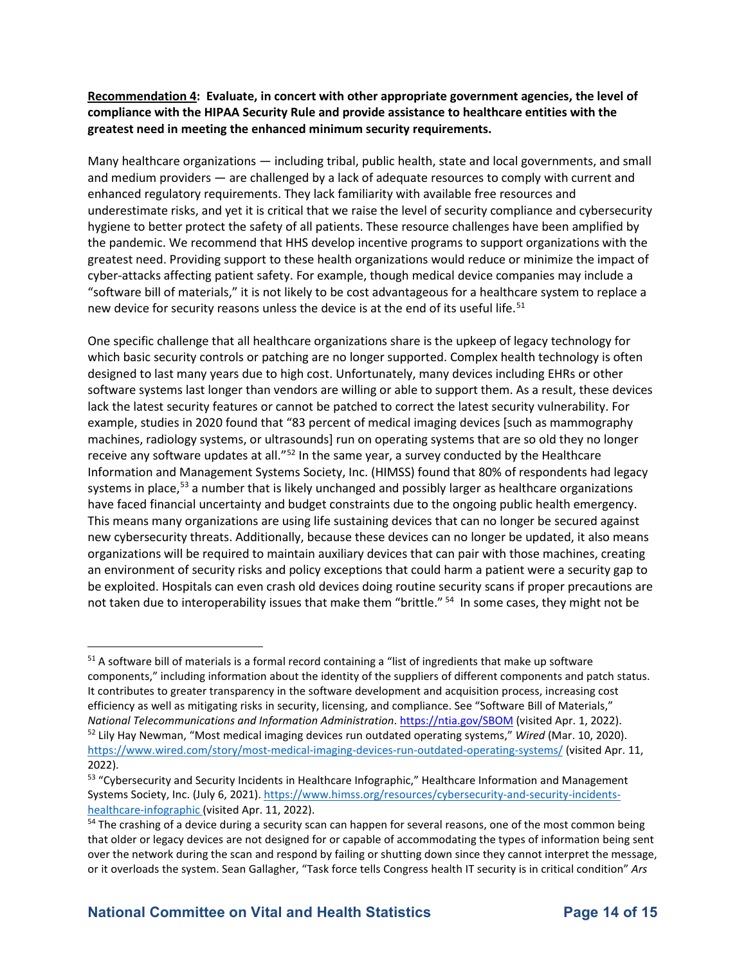**Recommendation 4: Evaluate, in concert with other appropriate government agencies, the level of compliance with the HIPAA Security Rule and provide assistance to healthcare entities with the greatest need in meeting the enhanced minimum security requirements.** 

 Many healthcare organizations — including tribal, public health, state and local governments, and small the pandemic. We recommend that HHS develop incentive programs to support organizations with the new device for security reasons unless the device is at the end of its useful life.<sup>[51](#page-13-0)</sup> and medium providers — are challenged by a lack of adequate resources to comply with current and enhanced regulatory requirements. They lack familiarity with available free resources and underestimate risks, and yet it is critical that we raise the level of security compliance and cybersecurity hygiene to better protect the safety of all patients. These resource challenges have been amplified by greatest need. Providing support to these health organizations would reduce or minimize the impact of cyber-attacks affecting patient safety. For example, though medical device companies may include a "software bill of materials," it is not likely to be cost advantageous for a healthcare system to replace a

 which basic security controls or patching are no longer supported. Complex health technology is often example, studies in 2020 found that "83 percent of medical imaging devices [such as mammography machines, radiology systems, or ultrasounds] run on operating systems that are so old they no longer receive any software updates at all." $52$  In the same year, a survey conducted by the Healthcare Information and Management Systems Society, Inc. (HIMSS) found that 80% of respondents had legacy have faced financial uncertainty and budget constraints due to the ongoing public health emergency. new cybersecurity threats. Additionally, because these devices can no longer be updated, it also means organizations will be required to maintain auxiliary devices that can pair with those machines, creating be exploited. Hospitals can even crash old devices doing routine security scans if proper precautions are not taken due to interoperability issues that make them "brittle." <sup>54</sup> In some cases, they might not be One specific challenge that all healthcare organizations share is the upkeep of legacy technology for designed to last many years due to high cost. Unfortunately, many devices including EHRs or other software systems last longer than vendors are willing or able to support them. As a result, these devices lack the latest security features or cannot be patched to correct the latest security vulnerability. For systems in place,<sup>[53](#page-13-2)</sup> a number that is likely unchanged and possibly larger as healthcare organizations This means many organizations are using life sustaining devices that can no longer be secured against an environment of security risks and policy exceptions that could harm a patient were a security gap to

<span id="page-13-0"></span>National Telecommunications and Information Administration. https://ntia.gov/SBOM (visited Apr. 1, 2022). <https://www.wired.com/story/most-medical-imaging-devices-run-outdated-operating-systems/>(visited Apr. 11,  $2022$ ). <sup>51</sup> A software bill of materials is a formal record containing a "list of ingredients that make up software components," including information about the identity of the suppliers of different components and patch status. It contributes to greater transparency in the software development and acquisition process, increasing cost efficiency as well as mitigating risks in security, licensing, and compliance. See "Software Bill of Materials," <sup>52</sup> Lily Hay Newman, "Most medical imaging devices run outdated operating systems," Wired (Mar. 10, 2020).

<span id="page-13-2"></span><span id="page-13-1"></span>healthcare-infographic (visited Apr. 11, 2022). <sup>53</sup> "Cybersecurity and Security Incidents in Healthcare Infographic," Healthcare Information and Management Systems Society, Inc. (July 6, 2021). [https://www.himss.org/resources/cybersecurity-and-security-incidents-](https://www.himss.org/resources/cybersecurity-and-security-incidents-healthcare-infographic)

<span id="page-13-3"></span> $54$  The crashing of a device during a security scan can happen for several reasons, one of the most common being that older or legacy devices are not designed for or capable of accommodating the types of information being sent over the network during the scan and respond by failing or shutting down since they cannot interpret the message, or it overloads the system. Sean Gallagher, "Task force tells Congress health IT security is in critical condition" *Ars*